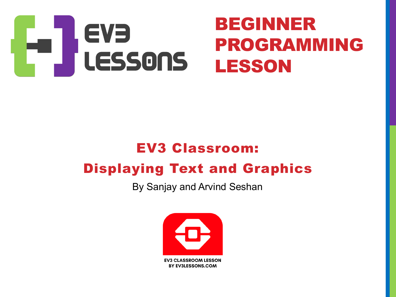

#### EV3 Classroom: Displaying Text and Graphics

By Sanjay and Arvind Seshan

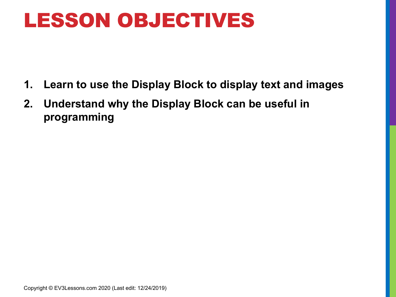#### LESSON OBJECTIVES

- **1. Learn to use the Display Block to display text and images**
- **2. Understand why the Display Block can be useful in programming**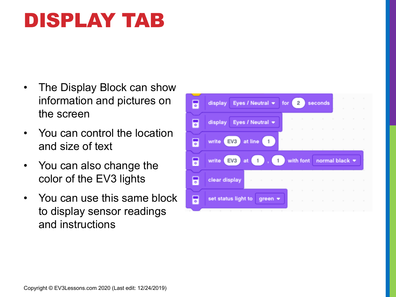## DISPLAY TAB

- The Display Block can show information and pictures on the screen
- You can control the location and size of text
- You can also change the color of the EV3 lights
- You can use this same block to display sensor readings and instructions

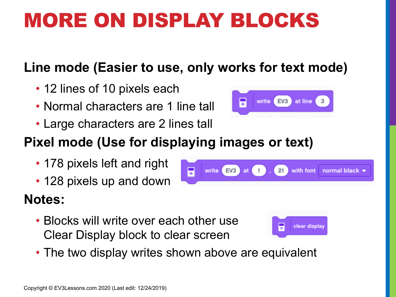## MORE ON DISPLAY BLOCKS

#### **Line mode (Easier to use, only works for text mode)**

- 12 lines of 10 pixels each
- Normal characters are 1 line tall
- Large characters are 2 lines tall

#### **Pixel mode (Use for displaying images or text)**

- 178 pixels left and right
- 128 pixels up and down

#### **Notes:**

- Blocks will write over each other use Clear Display block to clear screen
- The two display writes shown above are equivalent





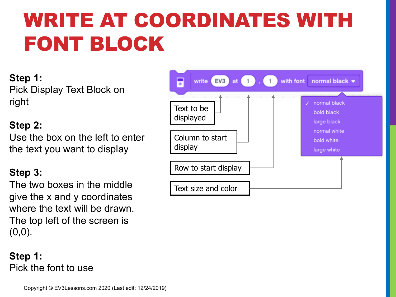# WRITE AT COORDINATES WITH FONT BLOCK

**Step 1:**  Pick Display Text Block on right

#### **Step 2:**

Use the box on the left to enter the text you want to display

#### **Step 3:**

The two boxes in the middle give the x and y coordinates where the text will be drawn. The top left of the screen is  $(0,0)$ .



**Step 1:**  Pick the font to use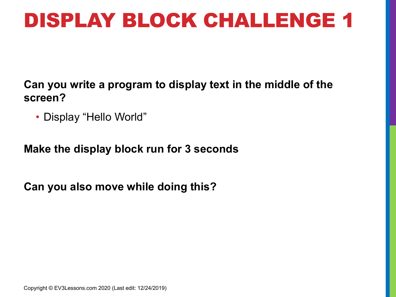#### DISPLAY BLOCK CHALLENGE 1

**Can you write a program to display text in the middle of the screen?**

• Display "Hello World"

**Make the display block run for 3 seconds**

**Can you also move while doing this?**

Copyright © EV3Lessons.com 2020 (Last edit: 12/24/2019)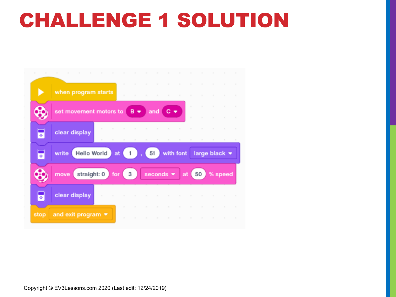#### CHALLENGE 1 SOLUTION

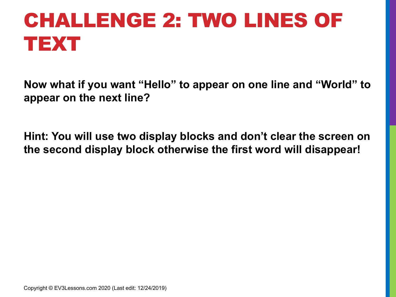# CHALLENGE 2: TWO LINES OF TEXT

**Now what if you want "Hello" to appear on one line and "World" to appear on the next line?**

**Hint: You will use two display blocks and don't clear the screen on the second display block otherwise the first word will disappear!**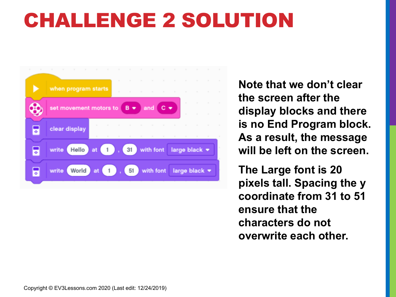#### CHALLENGE 2 SOLUTION



**Note that we don't clear the screen after the display blocks and there is no End Program block. As a result, the message will be left on the screen.**

**The Large font is 20 pixels tall. Spacing the y coordinate from 31 to 51 ensure that the characters do not overwrite each other.**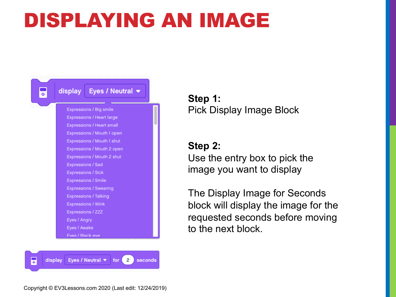### DISPLAYING AN IMAGE



Eyes / Neutral  $\bullet$  for 2 display seconds

**Step 1:**  Pick Display Image Block

**Step 2:** Use the entry box to pick the image you want to display

The Display Image for Seconds block will display the image for the requested seconds before moving to the next block.

E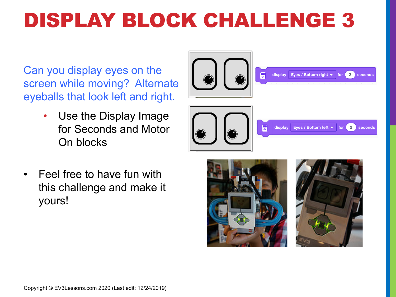# DISPLAY BLOCK CHALLENGE 3

Can you display eyes on the screen while moving? Alternate eyeballs that look left and right.

> • Use the Display Image for Seconds and Motor On blocks



• Feel free to have fun with this challenge and make it yours!



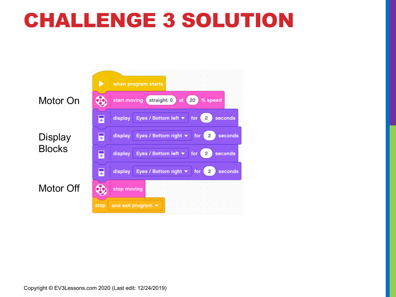#### CHALLENGE 3 SOLUTION

when program starts  $\bigcirc$ Motor On straight: 0  $20^{\circ}$ start moving at % speed G display Eyes / Bottom left  $\blacktriangleright$  $2^{\circ}$ seconds for Eyes / Bottom right \*  $\overline{2}$ **Display** E display seconds for **Blocks** G Eyes / Bottom left  $\blacktriangleright$  $2^{\circ}$ display seconds for F Eyes / Bottom right \*  $\overline{2}$ display for seconds Motor Off  $\bigcirc$ stop moving and exit program  $\blacktriangledown$ stop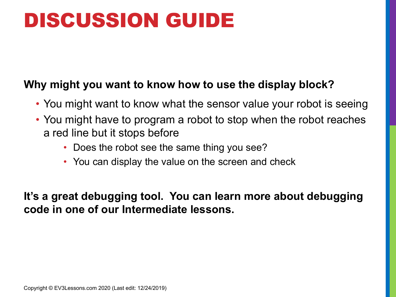#### DISCUSSION GUIDE

#### **Why might you want to know how to use the display block?**

- You might want to know what the sensor value your robot is seeing
- You might have to program a robot to stop when the robot reaches a red line but it stops before
	- Does the robot see the same thing you see?
	- You can display the value on the screen and check

**It's a great debugging tool. You can learn more about debugging code in one of our Intermediate lessons.**